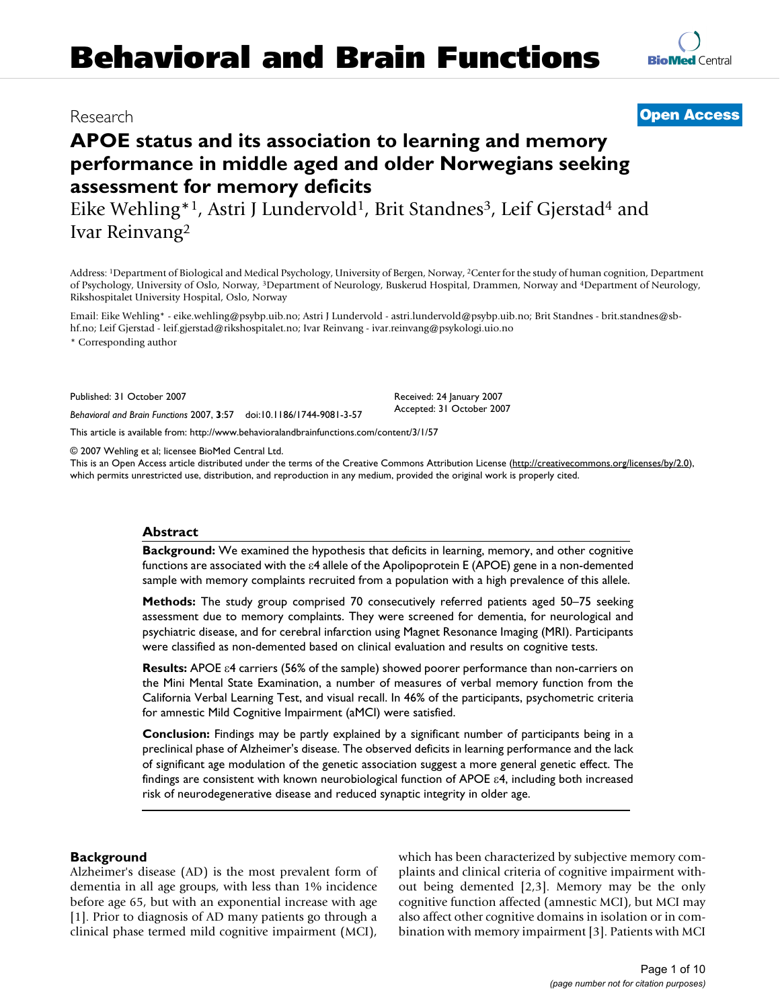# **Behavioral and Brain Functions**

# **APOE status and its association to learning and memory performance in middle aged and older Norwegians seeking assessment for memory deficits**

Eike Wehling\*<sup>1</sup>, Astri J Lundervold<sup>1</sup>, Brit Standnes<sup>3</sup>, Leif Gjerstad<sup>4</sup> and Ivar Reinvang2

Address: 1Department of Biological and Medical Psychology, University of Bergen, Norway, 2Center for the study of human cognition, Department of Psychology, University of Oslo, Norway, 3Department of Neurology, Buskerud Hospital, Drammen, Norway and 4Department of Neurology, Rikshospitalet University Hospital, Oslo, Norway

Email: Eike Wehling\* - eike.wehling@psybp.uib.no; Astri J Lundervold - astri.lundervold@psybp.uib.no; Brit Standnes - brit.standnes@sbhf.no; Leif Gjerstad - leif.gjerstad@rikshospitalet.no; Ivar Reinvang - ivar.reinvang@psykologi.uio.no

\* Corresponding author

Published: 31 October 2007

*Behavioral and Brain Functions* 2007, **3**:57 doi:10.1186/1744-9081-3-57

[This article is available from: http://www.behavioralandbrainfunctions.com/content/3/1/57](http://www.behavioralandbrainfunctions.com/content/3/1/57)

© 2007 Wehling et al; licensee BioMed Central Ltd.

This is an Open Access article distributed under the terms of the Creative Commons Attribution License [\(http://creativecommons.org/licenses/by/2.0\)](http://creativecommons.org/licenses/by/2.0), which permits unrestricted use, distribution, and reproduction in any medium, provided the original work is properly cited.

Received: 24 January 2007 Accepted: 31 October 2007

#### **Abstract**

**Background:** We examined the hypothesis that deficits in learning, memory, and other cognitive functions are associated with the ε4 allele of the Apolipoprotein E (APOE) gene in a non-demented sample with memory complaints recruited from a population with a high prevalence of this allele.

**Methods:** The study group comprised 70 consecutively referred patients aged 50–75 seeking assessment due to memory complaints. They were screened for dementia, for neurological and psychiatric disease, and for cerebral infarction using Magnet Resonance Imaging (MRI). Participants were classified as non-demented based on clinical evaluation and results on cognitive tests.

**Results:** APOE ε4 carriers (56% of the sample) showed poorer performance than non-carriers on the Mini Mental State Examination, a number of measures of verbal memory function from the California Verbal Learning Test, and visual recall. In 46% of the participants, psychometric criteria for amnestic Mild Cognitive Impairment (aMCI) were satisfied.

**Conclusion:** Findings may be partly explained by a significant number of participants being in a preclinical phase of Alzheimer's disease. The observed deficits in learning performance and the lack of significant age modulation of the genetic association suggest a more general genetic effect. The findings are consistent with known neurobiological function of APOE ε4, including both increased risk of neurodegenerative disease and reduced synaptic integrity in older age.

#### **Background**

Alzheimer's disease (AD) is the most prevalent form of dementia in all age groups, with less than 1% incidence before age 65, but with an exponential increase with age [1]. Prior to diagnosis of AD many patients go through a clinical phase termed mild cognitive impairment (MCI), which has been characterized by subjective memory complaints and clinical criteria of cognitive impairment without being demented [2,3]. Memory may be the only cognitive function affected (amnestic MCI), but MCI may also affect other cognitive domains in isolation or in combination with memory impairment [3]. Patients with MCI



## Research **[Open Access](http://www.biomedcentral.com/info/about/charter/)**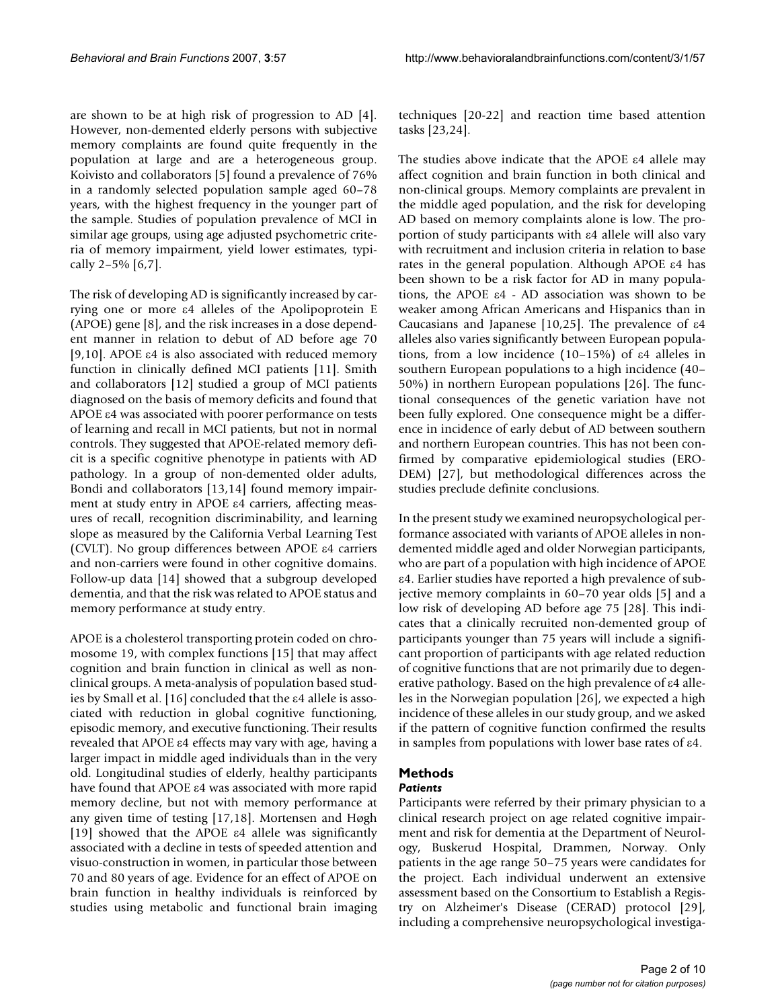are shown to be at high risk of progression to AD [4]. However, non-demented elderly persons with subjective memory complaints are found quite frequently in the population at large and are a heterogeneous group. Koivisto and collaborators [5] found a prevalence of 76% in a randomly selected population sample aged 60–78 years, with the highest frequency in the younger part of the sample. Studies of population prevalence of MCI in similar age groups, using age adjusted psychometric criteria of memory impairment, yield lower estimates, typically 2–5% [6,7].

The risk of developing AD is significantly increased by carrying one or more ε4 alleles of the Apolipoprotein E (APOE) gene [8], and the risk increases in a dose dependent manner in relation to debut of AD before age 70 [9,10]. APOE  $\varepsilon$ 4 is also associated with reduced memory function in clinically defined MCI patients [11]. Smith and collaborators [12] studied a group of MCI patients diagnosed on the basis of memory deficits and found that APOE ε4 was associated with poorer performance on tests of learning and recall in MCI patients, but not in normal controls. They suggested that APOE-related memory deficit is a specific cognitive phenotype in patients with AD pathology. In a group of non-demented older adults, Bondi and collaborators [13,14] found memory impairment at study entry in APOE ε4 carriers, affecting measures of recall, recognition discriminability, and learning slope as measured by the California Verbal Learning Test (CVLT). No group differences between APOE ε4 carriers and non-carriers were found in other cognitive domains. Follow-up data [14] showed that a subgroup developed dementia, and that the risk was related to APOE status and memory performance at study entry.

APOE is a cholesterol transporting protein coded on chromosome 19, with complex functions [15] that may affect cognition and brain function in clinical as well as nonclinical groups. A meta-analysis of population based studies by Small et al. [16] concluded that the ε4 allele is associated with reduction in global cognitive functioning, episodic memory, and executive functioning. Their results revealed that APOE ε4 effects may vary with age, having a larger impact in middle aged individuals than in the very old. Longitudinal studies of elderly, healthy participants have found that APOE ε4 was associated with more rapid memory decline, but not with memory performance at any given time of testing [17,18]. Mortensen and Høgh [19] showed that the APOE ε4 allele was significantly associated with a decline in tests of speeded attention and visuo-construction in women, in particular those between 70 and 80 years of age. Evidence for an effect of APOE on brain function in healthy individuals is reinforced by studies using metabolic and functional brain imaging techniques [20-22] and reaction time based attention tasks [23,24].

The studies above indicate that the APOE ε4 allele may affect cognition and brain function in both clinical and non-clinical groups. Memory complaints are prevalent in the middle aged population, and the risk for developing AD based on memory complaints alone is low. The proportion of study participants with ε4 allele will also vary with recruitment and inclusion criteria in relation to base rates in the general population. Although APOE ε4 has been shown to be a risk factor for AD in many populations, the APOE ε4 - AD association was shown to be weaker among African Americans and Hispanics than in Caucasians and Japanese [10,25]. The prevalence of ε4 alleles also varies significantly between European populations, from a low incidence (10–15%) of ε4 alleles in southern European populations to a high incidence (40– 50%) in northern European populations [26]. The functional consequences of the genetic variation have not been fully explored. One consequence might be a difference in incidence of early debut of AD between southern and northern European countries. This has not been confirmed by comparative epidemiological studies (ERO-DEM) [27], but methodological differences across the studies preclude definite conclusions.

In the present study we examined neuropsychological performance associated with variants of APOE alleles in nondemented middle aged and older Norwegian participants, who are part of a population with high incidence of APOE ε4. Earlier studies have reported a high prevalence of subjective memory complaints in 60–70 year olds [5] and a low risk of developing AD before age 75 [28]. This indicates that a clinically recruited non-demented group of participants younger than 75 years will include a significant proportion of participants with age related reduction of cognitive functions that are not primarily due to degenerative pathology. Based on the high prevalence of ε4 alleles in the Norwegian population [26], we expected a high incidence of these alleles in our study group, and we asked if the pattern of cognitive function confirmed the results in samples from populations with lower base rates of ε4.

# **Methods**

#### *Patients*

Participants were referred by their primary physician to a clinical research project on age related cognitive impairment and risk for dementia at the Department of Neurology, Buskerud Hospital, Drammen, Norway. Only patients in the age range 50–75 years were candidates for the project. Each individual underwent an extensive assessment based on the Consortium to Establish a Registry on Alzheimer's Disease (CERAD) protocol [29], including a comprehensive neuropsychological investiga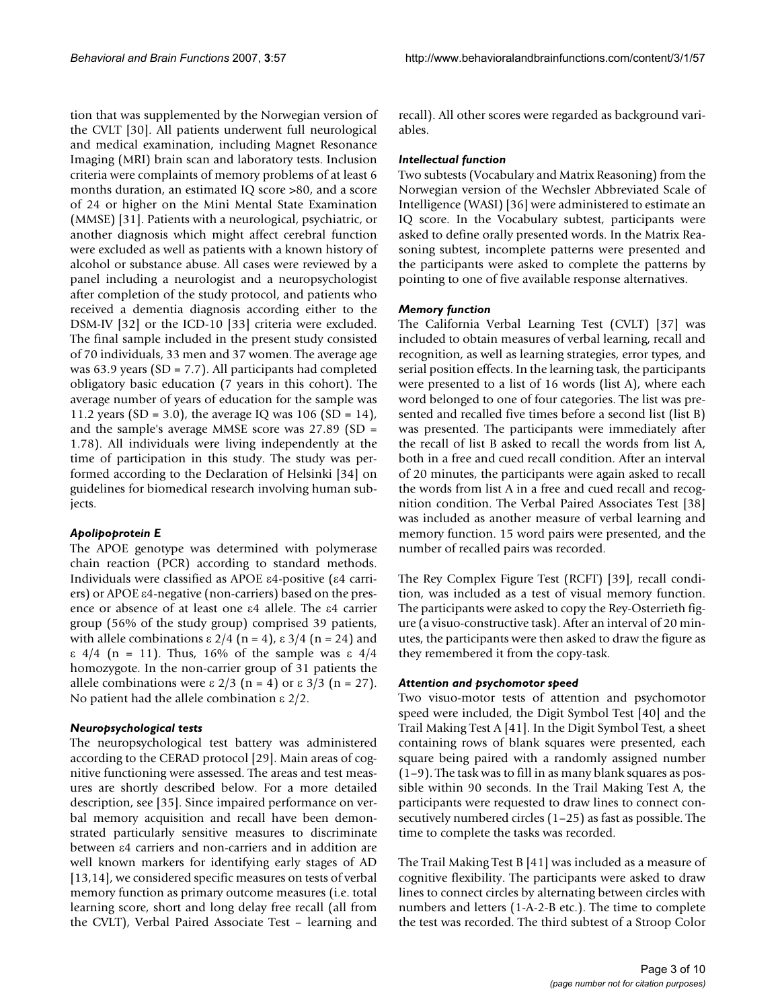tion that was supplemented by the Norwegian version of the CVLT [30]. All patients underwent full neurological and medical examination, including Magnet Resonance Imaging (MRI) brain scan and laboratory tests. Inclusion criteria were complaints of memory problems of at least 6 months duration, an estimated IQ score >80, and a score of 24 or higher on the Mini Mental State Examination (MMSE) [31]. Patients with a neurological, psychiatric, or another diagnosis which might affect cerebral function were excluded as well as patients with a known history of alcohol or substance abuse. All cases were reviewed by a panel including a neurologist and a neuropsychologist after completion of the study protocol, and patients who received a dementia diagnosis according either to the DSM-IV [32] or the ICD-10 [33] criteria were excluded. The final sample included in the present study consisted of 70 individuals, 33 men and 37 women. The average age was 63.9 years (SD = 7.7). All participants had completed obligatory basic education (7 years in this cohort). The average number of years of education for the sample was 11.2 years (SD = 3.0), the average IQ was 106 (SD = 14), and the sample's average MMSE score was 27.89 (SD = 1.78). All individuals were living independently at the time of participation in this study. The study was performed according to the Declaration of Helsinki [34] on guidelines for biomedical research involving human subjects.

#### *Apolipoprotein E*

The APOE genotype was determined with polymerase chain reaction (PCR) according to standard methods. Individuals were classified as APOE ε4-positive (ε4 carriers) or APOE ε4-negative (non-carriers) based on the presence or absence of at least one ε4 allele. The ε4 carrier group (56% of the study group) comprised 39 patients, with allele combinations  $\epsilon$  2/4 (n = 4),  $\epsilon$  3/4 (n = 24) and ε 4/4 (n = 11). Thus, 16% of the sample was ε 4/4 homozygote. In the non-carrier group of 31 patients the allele combinations were  $\epsilon$  2/3 (n = 4) or  $\epsilon$  3/3 (n = 27). No patient had the allele combination ε 2/2.

#### *Neuropsychological tests*

The neuropsychological test battery was administered according to the CERAD protocol [29]. Main areas of cognitive functioning were assessed. The areas and test measures are shortly described below. For a more detailed description, see [35]. Since impaired performance on verbal memory acquisition and recall have been demonstrated particularly sensitive measures to discriminate between ε4 carriers and non-carriers and in addition are well known markers for identifying early stages of AD [13,14], we considered specific measures on tests of verbal memory function as primary outcome measures (i.e. total learning score, short and long delay free recall (all from the CVLT), Verbal Paired Associate Test – learning and

recall). All other scores were regarded as background variables.

#### *Intellectual function*

Two subtests (Vocabulary and Matrix Reasoning) from the Norwegian version of the Wechsler Abbreviated Scale of Intelligence (WASI) [36] were administered to estimate an IQ score. In the Vocabulary subtest, participants were asked to define orally presented words. In the Matrix Reasoning subtest, incomplete patterns were presented and the participants were asked to complete the patterns by pointing to one of five available response alternatives.

#### *Memory function*

The California Verbal Learning Test (CVLT) [37] was included to obtain measures of verbal learning, recall and recognition, as well as learning strategies, error types, and serial position effects. In the learning task, the participants were presented to a list of 16 words (list A), where each word belonged to one of four categories. The list was presented and recalled five times before a second list (list B) was presented. The participants were immediately after the recall of list B asked to recall the words from list A, both in a free and cued recall condition. After an interval of 20 minutes, the participants were again asked to recall the words from list A in a free and cued recall and recognition condition. The Verbal Paired Associates Test [38] was included as another measure of verbal learning and memory function. 15 word pairs were presented, and the number of recalled pairs was recorded.

The Rey Complex Figure Test (RCFT) [39], recall condition, was included as a test of visual memory function. The participants were asked to copy the Rey-Osterrieth figure (a visuo-constructive task). After an interval of 20 minutes, the participants were then asked to draw the figure as they remembered it from the copy-task.

#### *Attention and psychomotor speed*

Two visuo-motor tests of attention and psychomotor speed were included, the Digit Symbol Test [40] and the Trail Making Test A [41]. In the Digit Symbol Test, a sheet containing rows of blank squares were presented, each square being paired with a randomly assigned number (1–9). The task was to fill in as many blank squares as possible within 90 seconds. In the Trail Making Test A, the participants were requested to draw lines to connect consecutively numbered circles (1–25) as fast as possible. The time to complete the tasks was recorded.

The Trail Making Test B [41] was included as a measure of cognitive flexibility. The participants were asked to draw lines to connect circles by alternating between circles with numbers and letters (1-A-2-B etc.). The time to complete the test was recorded. The third subtest of a Stroop Color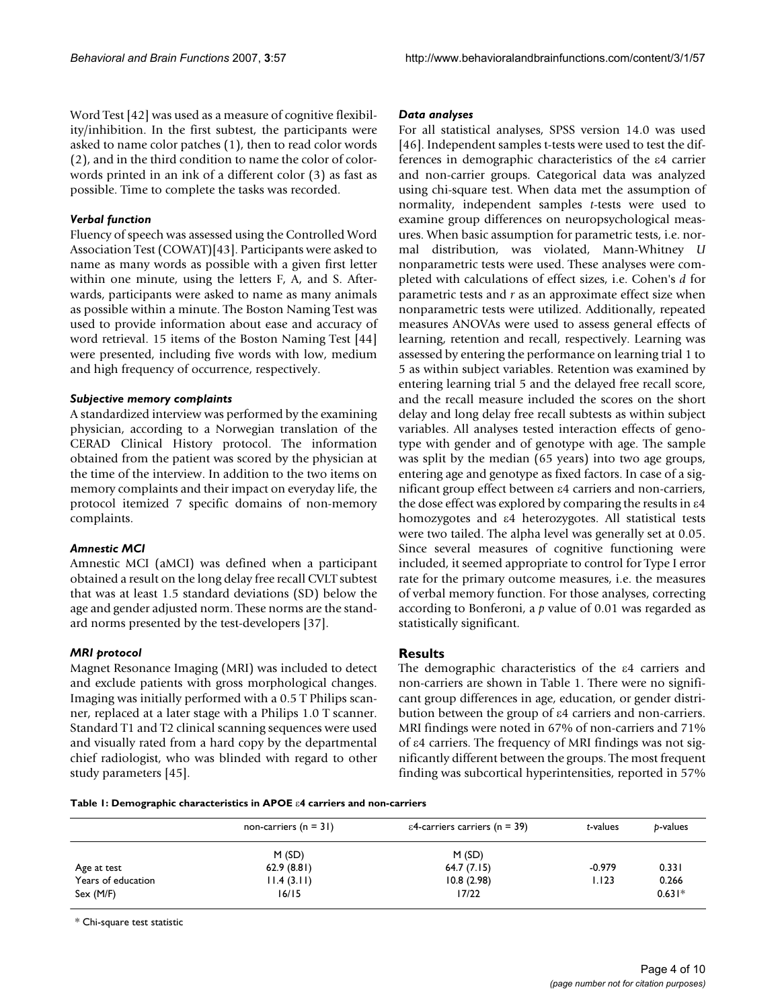Word Test [42] was used as a measure of cognitive flexibility/inhibition. In the first subtest, the participants were asked to name color patches (1), then to read color words (2), and in the third condition to name the color of colorwords printed in an ink of a different color (3) as fast as possible. Time to complete the tasks was recorded.

#### *Verbal function*

Fluency of speech was assessed using the Controlled Word Association Test (COWAT)[43]. Participants were asked to name as many words as possible with a given first letter within one minute, using the letters F, A, and S. Afterwards, participants were asked to name as many animals as possible within a minute. The Boston Naming Test was used to provide information about ease and accuracy of word retrieval. 15 items of the Boston Naming Test [44] were presented, including five words with low, medium and high frequency of occurrence, respectively.

#### *Subjective memory complaints*

A standardized interview was performed by the examining physician, according to a Norwegian translation of the CERAD Clinical History protocol. The information obtained from the patient was scored by the physician at the time of the interview. In addition to the two items on memory complaints and their impact on everyday life, the protocol itemized 7 specific domains of non-memory complaints.

#### *Amnestic MCI*

Amnestic MCI (aMCI) was defined when a participant obtained a result on the long delay free recall CVLT subtest that was at least 1.5 standard deviations (SD) below the age and gender adjusted norm. These norms are the standard norms presented by the test-developers [37].

#### *MRI protocol*

Magnet Resonance Imaging (MRI) was included to detect and exclude patients with gross morphological changes. Imaging was initially performed with a 0.5 T Philips scanner, replaced at a later stage with a Philips 1.0 T scanner. Standard T1 and T2 clinical scanning sequences were used and visually rated from a hard copy by the departmental chief radiologist, who was blinded with regard to other study parameters [45].

#### *Data analyses*

For all statistical analyses, SPSS version 14.0 was used [46]. Independent samples t-tests were used to test the differences in demographic characteristics of the ε4 carrier and non-carrier groups. Categorical data was analyzed using chi-square test. When data met the assumption of normality, independent samples *t*-tests were used to examine group differences on neuropsychological measures. When basic assumption for parametric tests, i.e. normal distribution, was violated, Mann-Whitney *U* nonparametric tests were used. These analyses were completed with calculations of effect sizes, i.e. Cohen's *d* for parametric tests and *r* as an approximate effect size when nonparametric tests were utilized. Additionally, repeated measures ANOVAs were used to assess general effects of learning, retention and recall, respectively. Learning was assessed by entering the performance on learning trial 1 to 5 as within subject variables. Retention was examined by entering learning trial 5 and the delayed free recall score, and the recall measure included the scores on the short delay and long delay free recall subtests as within subject variables. All analyses tested interaction effects of genotype with gender and of genotype with age. The sample was split by the median (65 years) into two age groups, entering age and genotype as fixed factors. In case of a significant group effect between ε4 carriers and non-carriers, the dose effect was explored by comparing the results in ε4 homozygotes and ε4 heterozygotes. All statistical tests were two tailed. The alpha level was generally set at 0.05. Since several measures of cognitive functioning were included, it seemed appropriate to control for Type I error rate for the primary outcome measures, i.e. the measures of verbal memory function. For those analyses, correcting according to Bonferoni, a *p* value of 0.01 was regarded as statistically significant.

#### **Results**

The demographic characteristics of the ε4 carriers and non-carriers are shown in Table 1. There were no significant group differences in age, education, or gender distribution between the group of ε4 carriers and non-carriers. MRI findings were noted in 67% of non-carriers and 71% of ε4 carriers. The frequency of MRI findings was not significantly different between the groups. The most frequent finding was subcortical hyperintensities, reported in 57%

**Table 1: Demographic characteristics in APOE** ε**4 carriers and non-carriers**

|                    | non-carriers $(n = 31)$ | $\epsilon$ 4-carriers carriers (n = 39) | t-values | b-values |
|--------------------|-------------------------|-----------------------------------------|----------|----------|
|                    | M(SD)                   | M(SD)                                   |          |          |
| Age at test        | 62.9(8.81)              | 64.7(7.15)                              | $-0.979$ | 0.331    |
| Years of education | 11.4(3.11)              | 10.8(2.98)                              | 1.123    | 0.266    |
| Sex (M/F)          | 16/15                   | 17/22                                   |          | $0.631*$ |

\* Chi-square test statistic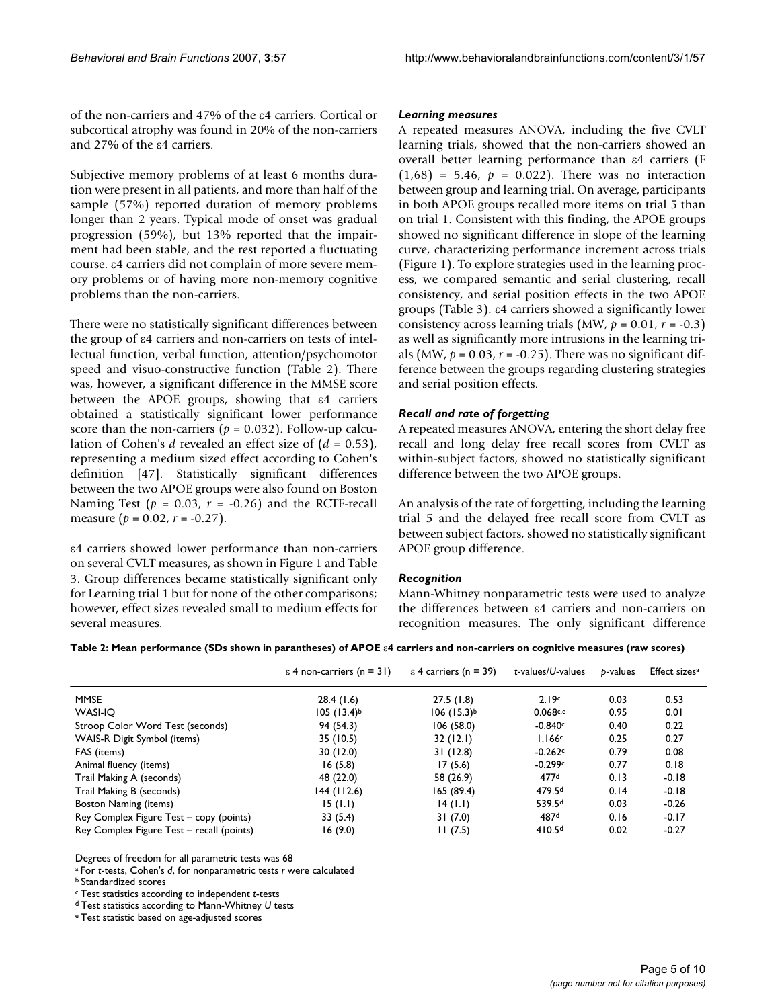of the non-carriers and 47% of the ε4 carriers. Cortical or subcortical atrophy was found in 20% of the non-carriers and 27% of the ε4 carriers.

Subjective memory problems of at least 6 months duration were present in all patients, and more than half of the sample (57%) reported duration of memory problems longer than 2 years. Typical mode of onset was gradual progression (59%), but 13% reported that the impairment had been stable, and the rest reported a fluctuating course. ε4 carriers did not complain of more severe memory problems or of having more non-memory cognitive problems than the non-carriers.

There were no statistically significant differences between the group of ε4 carriers and non-carriers on tests of intellectual function, verbal function, attention/psychomotor speed and visuo-constructive function (Table 2). There was, however, a significant difference in the MMSE score between the APOE groups, showing that ε4 carriers obtained a statistically significant lower performance score than the non-carriers ( $p = 0.032$ ). Follow-up calculation of Cohen's *d* revealed an effect size of (*d* = 0.53), representing a medium sized effect according to Cohen's definition [47]. Statistically significant differences between the two APOE groups were also found on Boston Naming Test  $(p = 0.03, r = -0.26)$  and the RCTF-recall measure (*p* = 0.02, *r* = -0.27).

ε4 carriers showed lower performance than non-carriers on several CVLT measures, as shown in Figure 1 and Table 3. Group differences became statistically significant only for Learning trial 1 but for none of the other comparisons; however, effect sizes revealed small to medium effects for several measures.

#### *Learning measures*

A repeated measures ANOVA, including the five CVLT learning trials, showed that the non-carriers showed an overall better learning performance than ε4 carriers (F  $(1,68) = 5.46$ ,  $p = 0.022$ . There was no interaction between group and learning trial. On average, participants in both APOE groups recalled more items on trial 5 than on trial 1. Consistent with this finding, the APOE groups showed no significant difference in slope of the learning curve, characterizing performance increment across trials (Figure 1). To explore strategies used in the learning process, we compared semantic and serial clustering, recall consistency, and serial position effects in the two APOE groups (Table 3). ε4 carriers showed a significantly lower consistency across learning trials (MW,  $p = 0.01$ ,  $r = -0.3$ ) as well as significantly more intrusions in the learning trials (MW,  $p = 0.03$ ,  $r = -0.25$ ). There was no significant difference between the groups regarding clustering strategies and serial position effects.

#### *Recall and rate of forgetting*

A repeated measures ANOVA, entering the short delay free recall and long delay free recall scores from CVLT as within-subject factors, showed no statistically significant difference between the two APOE groups.

An analysis of the rate of forgetting, including the learning trial 5 and the delayed free recall score from CVLT as between subject factors, showed no statistically significant APOE group difference.

#### *Recognition*

Mann-Whitney nonparametric tests were used to analyze the differences between ε4 carriers and non-carriers on recognition measures. The only significant difference

**Table 2: Mean performance (SDs shown in parantheses) of APOE** ε**4 carriers and non-carriers on cognitive measures (raw scores)**

|                                           | $\epsilon$ 4 non-carriers (n = 31) | $\epsilon$ 4 carriers (n = 39) | t-values/U-values  | b-values | Effect sizes <sup>a</sup> |
|-------------------------------------------|------------------------------------|--------------------------------|--------------------|----------|---------------------------|
| <b>MMSE</b>                               | 28.4(1.6)                          | 27.5(1.8)                      | 2.19c              | 0.03     | 0.53                      |
| <b>WASI-IO</b>                            | $105 (13.4)^{b}$                   | $106 (15.3)^{b}$               | 0.068c,e           | 0.95     | 0.01                      |
| Stroop Color Word Test (seconds)          | 94 (54.3)                          | 106 (58.0)                     | $-0.840c$          | 0.40     | 0.22                      |
| WAIS-R Digit Symbol (items)               | 35(10.5)                           | 32(12.1)                       | 1.166c             | 0.25     | 0.27                      |
| FAS (items)                               | 30(12.0)                           | 31(12.8)                       | $-0.262c$          | 0.79     | 0.08                      |
| Animal fluency (items)                    | 16(5.8)                            | 17(5.6)                        | $-0.299c$          | 0.77     | 0.18                      |
| Trail Making A (seconds)                  | 48 (22.0)                          | 58 (26.9)                      | 477d               | 0.13     | $-0.18$                   |
| Trail Making B (seconds)                  | 144 (112.6)                        | 165 (89.4)                     | 479.5 <sup>d</sup> | 0.14     | $-0.18$                   |
| Boston Naming (items)                     | 15(1.1)                            | 14 (1.1)                       | 539.5 <sup>d</sup> | 0.03     | $-0.26$                   |
| Rey Complex Figure Test – copy (points)   | 33(5.4)                            | 31(7.0)                        | 487 <sup>d</sup>   | 0.16     | $-0.17$                   |
| Rey Complex Figure Test – recall (points) | 16(9.0)                            | 11(7.5)                        | 410.5 <sup>d</sup> | 0.02     | $-0.27$                   |

Degrees of freedom for all parametric tests was 68

a For *t*-tests, Cohen's *d*, for nonparametric tests *r* were calculated

b Standardized scores

c Test statistics according to independent *t*-tests

d Test statistics according to Mann-Whitney *U* tests

e Test statistic based on age-adjusted scores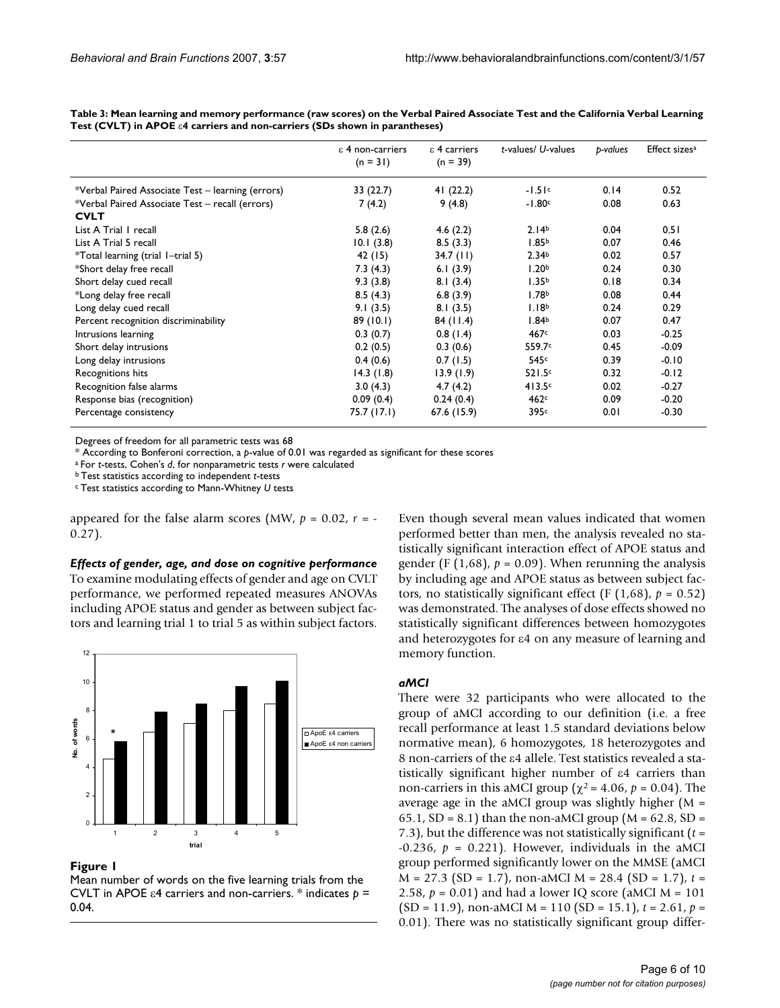|                                                   | $\epsilon$ 4 non-carriers<br>$(n = 31)$ | $\epsilon$ 4 carriers<br>$(n = 39)$ | t-values/ U-values | b-values | Effect sizes <sup>a</sup> |
|---------------------------------------------------|-----------------------------------------|-------------------------------------|--------------------|----------|---------------------------|
|                                                   |                                         |                                     |                    |          |                           |
| *Verbal Paired Associate Test – learning (errors) | 33(22.7)                                | 41 $(22.2)$                         | $-1.51c$           | 0.14     | 0.52                      |
| *Verbal Paired Associate Test - recall (errors)   | 7(4.2)                                  | 9(4.8)                              | $-1.80c$           | 0.08     | 0.63                      |
| <b>CVLT</b>                                       |                                         |                                     |                    |          |                           |
| List A Trial I recall                             | 5.8(2.6)                                | 4.6(2.2)                            | 2.14 <sup>b</sup>  | 0.04     | 0.51                      |
| List A Trial 5 recall                             | 10.1(3.8)                               | 8.5(3.3)                            | 1.85 <sup>b</sup>  | 0.07     | 0.46                      |
| *Total learning (trial 1-trial 5)                 | 42 (15)                                 | $34.7$ (11)                         | 2.34 <sup>b</sup>  | 0.02     | 0.57                      |
| *Short delay free recall                          | 7.3(4.3)                                | 6.1 $(3.9)$                         | 1.20 <sup>b</sup>  | 0.24     | 0.30                      |
| Short delay cued recall                           | 9.3(3.8)                                | 8.1(3.4)                            | 1.35 <sup>b</sup>  | 0.18     | 0.34                      |
| *Long delay free recall                           | 8.5(4.3)                                | 6.8(3.9)                            | 1.78 <sup>b</sup>  | 0.08     | 0.44                      |
| Long delay cued recall                            | 9.1(3.5)                                | 8.1(3.5)                            | 1.18 <sup>b</sup>  | 0.24     | 0.29                      |
| Percent recognition discriminability              | 89(10.1)                                | 84(11.4)                            | 1.84 <sup>b</sup>  | 0.07     | 0.47                      |
| Intrusions learning                               | 0.3(0.7)                                | 0.8(1.4)                            | 467 <sup>c</sup>   | 0.03     | $-0.25$                   |
| Short delay intrusions                            | 0.2(0.5)                                | 0.3(0.6)                            | 559.7 <sup>c</sup> | 0.45     | $-0.09$                   |
| Long delay intrusions                             | 0.4(0.6)                                | 0.7(1.5)                            | 545c               | 0.39     | $-0.10$                   |
| Recognitions hits                                 | 14.3(1.8)                               | 13.9(1.9)                           | 521.5c             | 0.32     | $-0.12$                   |
| Recognition false alarms                          | 3.0(4.3)                                | 4.7(4.2)                            | 413.5c             | 0.02     | $-0.27$                   |
| Response bias (recognition)                       | 0.09(0.4)                               | 0.24(0.4)                           | 462c               | 0.09     | $-0.20$                   |
| Percentage consistency                            | 75.7 (17.1)                             | 67.6 (15.9)                         | 395¢               | 0.01     | $-0.30$                   |

**Table 3: Mean learning and memory performance (raw scores) on the Verbal Paired Associate Test and the California Verbal Learning Test (CVLT) in APOE** ε**4 carriers and non-carriers (SDs shown in parantheses)**

Degrees of freedom for all parametric tests was 68

\* According to Bonferoni correction, a *p*-value of 0.01 was regarded as significant for these scores

a For *t*-tests, Cohen's *d*, for nonparametric tests *r* were calculated

b Test statistics according to independent *t*-tests

c Test statistics according to Mann-Whitney *U* tests

appeared for the false alarm scores (MW,  $p = 0.02$ ,  $r = -$ 0.27).

*Effects of gender, age, and dose on cognitive performance* To examine modulating effects of gender and age on CVLT performance, we performed repeated measures ANOVAs including APOE status and gender as between subject factors and learning trial 1 to trial 5 as within subject factors.



#### Figure 1

Mean number of words on the five learning trials from the CVLT in APOE ε4 carriers and non-carriers. \* indicates *p* = 0.04.

Even though several mean values indicated that women performed better than men, the analysis revealed no statistically significant interaction effect of APOE status and gender (F  $(1,68)$ ,  $p = 0.09$ ). When rerunning the analysis by including age and APOE status as between subject factors, no statistically significant effect (F  $(1,68)$ ,  $p = 0.52$ ) was demonstrated. The analyses of dose effects showed no statistically significant differences between homozygotes and heterozygotes for ε4 on any measure of learning and memory function.

#### *aMCI*

There were 32 participants who were allocated to the group of aMCI according to our definition (i.e. a free recall performance at least 1.5 standard deviations below normative mean), 6 homozygotes, 18 heterozygotes and 8 non-carriers of the ε4 allele. Test statistics revealed a statistically significant higher number of ε4 carriers than non-carriers in this aMCI group ( $\chi^2$  = 4.06,  $p$  = 0.04). The average age in the aMCI group was slightly higher  $(M =$ 65.1, SD = 8.1) than the non-aMCI group ( $M = 62.8$ , SD = 7.3), but the difference was not statistically significant (*t* = -0.236,  $p = 0.221$ ). However, individuals in the aMCI group performed significantly lower on the MMSE (aMCI M = 27.3 (SD = 1.7), non-aMCI M = 28.4 (SD = 1.7), *t* = 2.58,  $p = 0.01$ ) and had a lower IQ score (aMCI M = 101) (SD = 11.9), non-aMCI M = 110 (SD = 15.1), *t* = 2.61, *p* = 0.01). There was no statistically significant group differ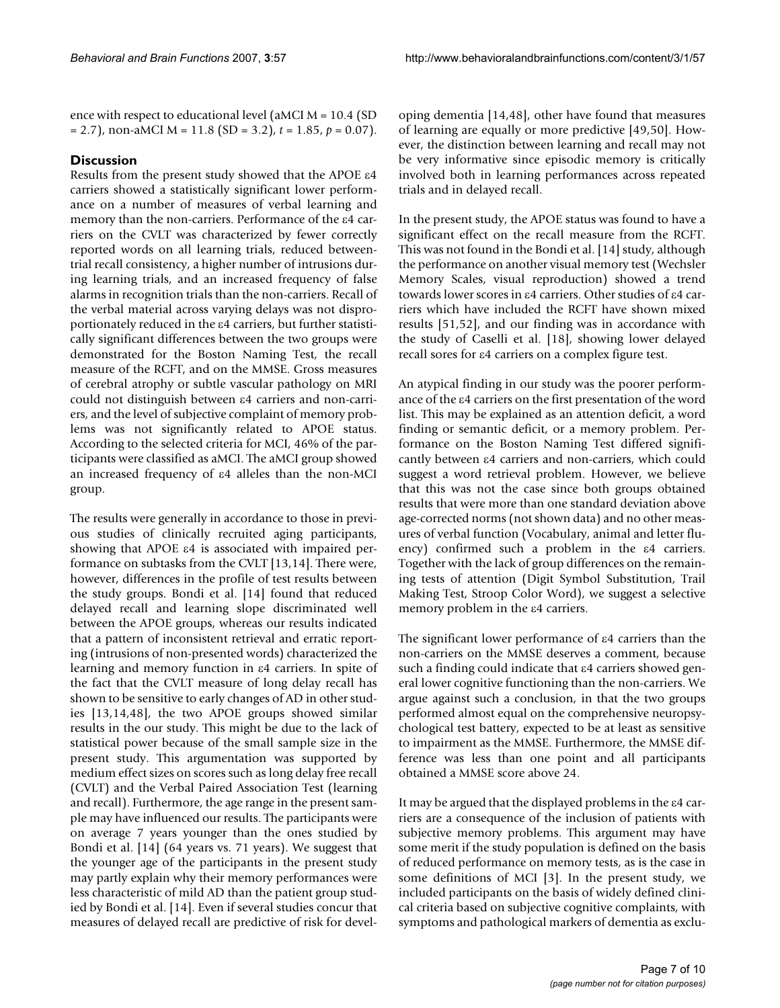ence with respect to educational level (aMCI M = 10.4 (SD = 2.7), non-aMCI M = 11.8 (SD = 3.2), *t* = 1.85, *p* = 0.07).

### **Discussion**

Results from the present study showed that the APOE ε4 carriers showed a statistically significant lower performance on a number of measures of verbal learning and memory than the non-carriers. Performance of the ε4 carriers on the CVLT was characterized by fewer correctly reported words on all learning trials, reduced betweentrial recall consistency, a higher number of intrusions during learning trials, and an increased frequency of false alarms in recognition trials than the non-carriers. Recall of the verbal material across varying delays was not disproportionately reduced in the ε4 carriers, but further statistically significant differences between the two groups were demonstrated for the Boston Naming Test, the recall measure of the RCFT, and on the MMSE. Gross measures of cerebral atrophy or subtle vascular pathology on MRI could not distinguish between ε4 carriers and non-carriers, and the level of subjective complaint of memory problems was not significantly related to APOE status. According to the selected criteria for MCI, 46% of the participants were classified as aMCI. The aMCI group showed an increased frequency of ε4 alleles than the non-MCI group.

The results were generally in accordance to those in previous studies of clinically recruited aging participants, showing that APOE ε4 is associated with impaired performance on subtasks from the CVLT [13,14]. There were, however, differences in the profile of test results between the study groups. Bondi et al. [14] found that reduced delayed recall and learning slope discriminated well between the APOE groups, whereas our results indicated that a pattern of inconsistent retrieval and erratic reporting (intrusions of non-presented words) characterized the learning and memory function in ε4 carriers. In spite of the fact that the CVLT measure of long delay recall has shown to be sensitive to early changes of AD in other studies [13,14,48], the two APOE groups showed similar results in the our study. This might be due to the lack of statistical power because of the small sample size in the present study. This argumentation was supported by medium effect sizes on scores such as long delay free recall (CVLT) and the Verbal Paired Association Test (learning and recall). Furthermore, the age range in the present sample may have influenced our results. The participants were on average 7 years younger than the ones studied by Bondi et al. [14] (64 years vs. 71 years). We suggest that the younger age of the participants in the present study may partly explain why their memory performances were less characteristic of mild AD than the patient group studied by Bondi et al. [14]. Even if several studies concur that measures of delayed recall are predictive of risk for developing dementia [14,48], other have found that measures of learning are equally or more predictive [49,50]. However, the distinction between learning and recall may not be very informative since episodic memory is critically involved both in learning performances across repeated trials and in delayed recall.

In the present study, the APOE status was found to have a significant effect on the recall measure from the RCFT. This was not found in the Bondi et al. [14] study, although the performance on another visual memory test (Wechsler Memory Scales, visual reproduction) showed a trend towards lower scores in ε4 carriers. Other studies of ε4 carriers which have included the RCFT have shown mixed results [51,52], and our finding was in accordance with the study of Caselli et al. [18], showing lower delayed recall sores for ε4 carriers on a complex figure test.

An atypical finding in our study was the poorer performance of the ε4 carriers on the first presentation of the word list. This may be explained as an attention deficit, a word finding or semantic deficit, or a memory problem. Performance on the Boston Naming Test differed significantly between ε4 carriers and non-carriers, which could suggest a word retrieval problem. However, we believe that this was not the case since both groups obtained results that were more than one standard deviation above age-corrected norms (not shown data) and no other measures of verbal function (Vocabulary, animal and letter fluency) confirmed such a problem in the ε4 carriers. Together with the lack of group differences on the remaining tests of attention (Digit Symbol Substitution, Trail Making Test, Stroop Color Word), we suggest a selective memory problem in the ε4 carriers.

The significant lower performance of ε4 carriers than the non-carriers on the MMSE deserves a comment, because such a finding could indicate that ε4 carriers showed general lower cognitive functioning than the non-carriers. We argue against such a conclusion, in that the two groups performed almost equal on the comprehensive neuropsychological test battery, expected to be at least as sensitive to impairment as the MMSE. Furthermore, the MMSE difference was less than one point and all participants obtained a MMSE score above 24.

It may be argued that the displayed problems in the ε4 carriers are a consequence of the inclusion of patients with subjective memory problems. This argument may have some merit if the study population is defined on the basis of reduced performance on memory tests, as is the case in some definitions of MCI [3]. In the present study, we included participants on the basis of widely defined clinical criteria based on subjective cognitive complaints, with symptoms and pathological markers of dementia as exclu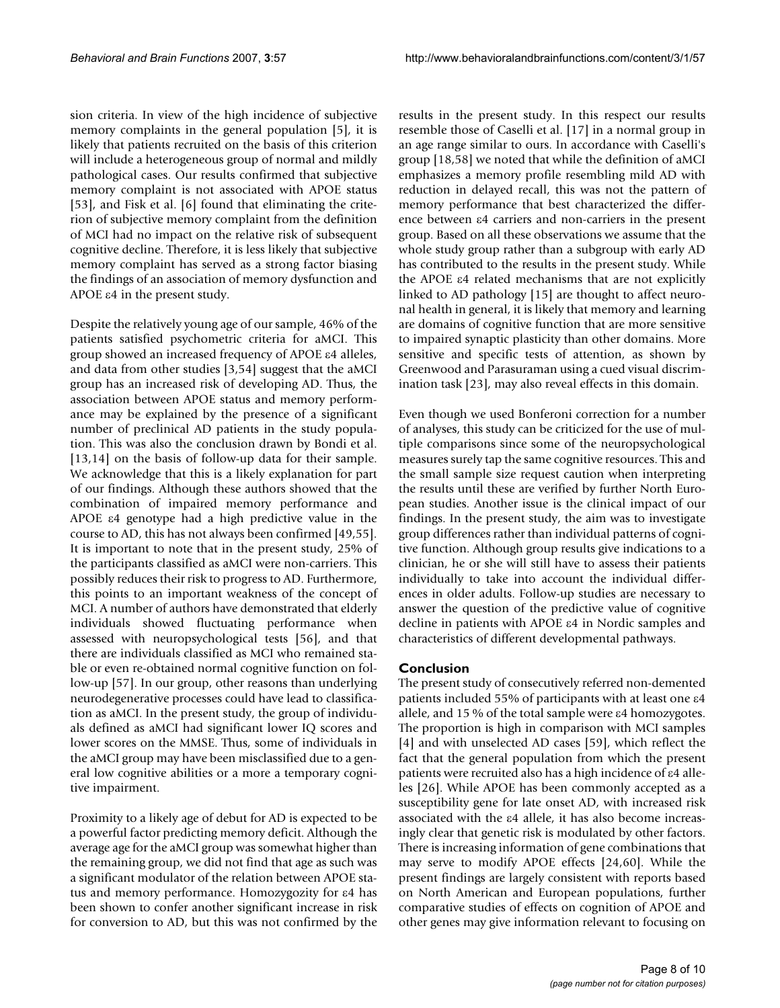sion criteria. In view of the high incidence of subjective memory complaints in the general population [5], it is likely that patients recruited on the basis of this criterion will include a heterogeneous group of normal and mildly pathological cases. Our results confirmed that subjective memory complaint is not associated with APOE status [53], and Fisk et al. [6] found that eliminating the criterion of subjective memory complaint from the definition of MCI had no impact on the relative risk of subsequent cognitive decline. Therefore, it is less likely that subjective memory complaint has served as a strong factor biasing the findings of an association of memory dysfunction and APOE ε4 in the present study.

Despite the relatively young age of our sample, 46% of the patients satisfied psychometric criteria for aMCI. This group showed an increased frequency of APOE ε4 alleles, and data from other studies [3,54] suggest that the aMCI group has an increased risk of developing AD. Thus, the association between APOE status and memory performance may be explained by the presence of a significant number of preclinical AD patients in the study population. This was also the conclusion drawn by Bondi et al. [13,14] on the basis of follow-up data for their sample. We acknowledge that this is a likely explanation for part of our findings. Although these authors showed that the combination of impaired memory performance and APOE ε4 genotype had a high predictive value in the course to AD, this has not always been confirmed [49,55]. It is important to note that in the present study, 25% of the participants classified as aMCI were non-carriers. This possibly reduces their risk to progress to AD. Furthermore, this points to an important weakness of the concept of MCI. A number of authors have demonstrated that elderly individuals showed fluctuating performance when assessed with neuropsychological tests [56], and that there are individuals classified as MCI who remained stable or even re-obtained normal cognitive function on follow-up [57]. In our group, other reasons than underlying neurodegenerative processes could have lead to classification as aMCI. In the present study, the group of individuals defined as aMCI had significant lower IQ scores and lower scores on the MMSE. Thus, some of individuals in the aMCI group may have been misclassified due to a general low cognitive abilities or a more a temporary cognitive impairment.

Proximity to a likely age of debut for AD is expected to be a powerful factor predicting memory deficit. Although the average age for the aMCI group was somewhat higher than the remaining group, we did not find that age as such was a significant modulator of the relation between APOE status and memory performance. Homozygozity for ε4 has been shown to confer another significant increase in risk for conversion to AD, but this was not confirmed by the results in the present study. In this respect our results resemble those of Caselli et al. [17] in a normal group in an age range similar to ours. In accordance with Caselli's group [18,58] we noted that while the definition of aMCI emphasizes a memory profile resembling mild AD with reduction in delayed recall, this was not the pattern of memory performance that best characterized the difference between ε4 carriers and non-carriers in the present group. Based on all these observations we assume that the whole study group rather than a subgroup with early AD has contributed to the results in the present study. While the APOE ε4 related mechanisms that are not explicitly linked to AD pathology [15] are thought to affect neuronal health in general, it is likely that memory and learning are domains of cognitive function that are more sensitive to impaired synaptic plasticity than other domains. More sensitive and specific tests of attention, as shown by Greenwood and Parasuraman using a cued visual discrimination task [23], may also reveal effects in this domain.

Even though we used Bonferoni correction for a number of analyses, this study can be criticized for the use of multiple comparisons since some of the neuropsychological measures surely tap the same cognitive resources. This and the small sample size request caution when interpreting the results until these are verified by further North European studies. Another issue is the clinical impact of our findings. In the present study, the aim was to investigate group differences rather than individual patterns of cognitive function. Although group results give indications to a clinician, he or she will still have to assess their patients individually to take into account the individual differences in older adults. Follow-up studies are necessary to answer the question of the predictive value of cognitive decline in patients with APOE ε4 in Nordic samples and characteristics of different developmental pathways.

#### **Conclusion**

The present study of consecutively referred non-demented patients included 55% of participants with at least one ε4 allele, and 15 % of the total sample were ε4 homozygotes. The proportion is high in comparison with MCI samples [4] and with unselected AD cases [59], which reflect the fact that the general population from which the present patients were recruited also has a high incidence of ε4 alleles [26]. While APOE has been commonly accepted as a susceptibility gene for late onset AD, with increased risk associated with the ε4 allele, it has also become increasingly clear that genetic risk is modulated by other factors. There is increasing information of gene combinations that may serve to modify APOE effects [24,60]. While the present findings are largely consistent with reports based on North American and European populations, further comparative studies of effects on cognition of APOE and other genes may give information relevant to focusing on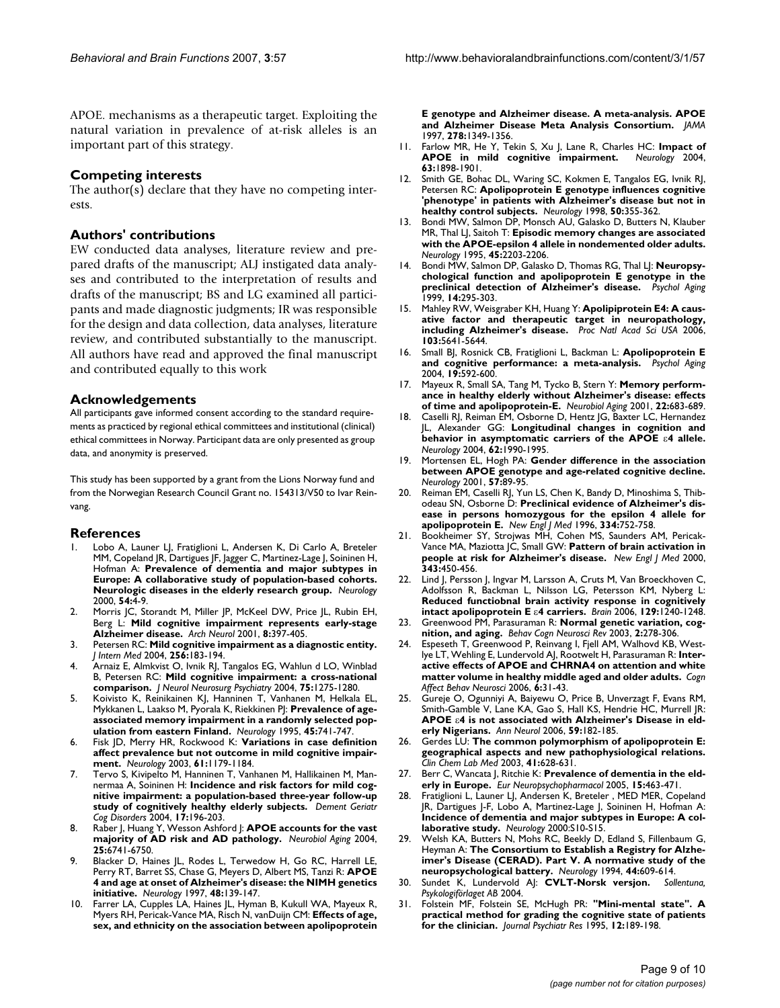APOE. mechanisms as a therapeutic target. Exploiting the natural variation in prevalence of at-risk alleles is an important part of this strategy.

#### **Competing interests**

The author(s) declare that they have no competing interests.

#### **Authors' contributions**

EW conducted data analyses, literature review and prepared drafts of the manuscript; ALJ instigated data analyses and contributed to the interpretation of results and drafts of the manuscript; BS and LG examined all participants and made diagnostic judgments; IR was responsible for the design and data collection, data analyses, literature review, and contributed substantially to the manuscript. All authors have read and approved the final manuscript and contributed equally to this work

#### **Acknowledgements**

All participants gave informed consent according to the standard requirements as practiced by regional ethical committees and institutional (clinical) ethical committees in Norway. Participant data are only presented as group data, and anonymity is preserved.

This study has been supported by a grant from the Lions Norway fund and from the Norwegian Research Council Grant no. 154313/V50 to Ivar Reinvang.

#### **References**

- Lobo A, Launer LJ, Fratiglioni L, Andersen K, Di Carlo A, Breteler MM, Copeland JR, Dartigues JF, Jagger C, Martinez-Lage J, Soininen H, Hofman A: **[Prevalence of dementia and major subtypes in](http://www.ncbi.nlm.nih.gov/entrez/query.fcgi?cmd=Retrieve&db=PubMed&dopt=Abstract&list_uids=10636116) [Europe: A collaborative study of population-based cohorts.](http://www.ncbi.nlm.nih.gov/entrez/query.fcgi?cmd=Retrieve&db=PubMed&dopt=Abstract&list_uids=10636116) [Neurologic diseases in the elderly research group.](http://www.ncbi.nlm.nih.gov/entrez/query.fcgi?cmd=Retrieve&db=PubMed&dopt=Abstract&list_uids=10636116)** *Neurology* 2000, **54:**4-9.
- 2. Morris JC, Storandt M, Miller JP, McKeel DW, Price JL, Rubin EH, Berg L: **Mild cognitive impairment represents early-stage Alzheimer disease.** *Arch Neurol* 2001, **8:**397-405.
- 3. Petersen RC: **[Mild cognitive impairment as a diagnostic entity.](http://www.ncbi.nlm.nih.gov/entrez/query.fcgi?cmd=Retrieve&db=PubMed&dopt=Abstract&list_uids=15324362)** *J Intern Med* 2004, **256:**183-194.
- 4. Arnaiz E, Almkvist O, Ivnik RJ, Tangalos EG, Wahlun d LO, Winblad B, Petersen RC: **[Mild cognitive impairment: a cross-national](http://www.ncbi.nlm.nih.gov/entrez/query.fcgi?cmd=Retrieve&db=PubMed&dopt=Abstract&list_uids=15314114) [comparison.](http://www.ncbi.nlm.nih.gov/entrez/query.fcgi?cmd=Retrieve&db=PubMed&dopt=Abstract&list_uids=15314114)** *J Neurol Neurosurg Psychiatry* 2004, **75:**1275-1280.
- 5. Koivisto K, Reinikainen KJ, Hanninen T, Vanhanen M, Helkala EL, Mykkanen L, Laakso M, Pyorala K, Riekkinen PJ: **[Prevalence of age](http://www.ncbi.nlm.nih.gov/entrez/query.fcgi?cmd=Retrieve&db=PubMed&dopt=Abstract&list_uids=7723964)[associated memory impairment in a randomly selected pop](http://www.ncbi.nlm.nih.gov/entrez/query.fcgi?cmd=Retrieve&db=PubMed&dopt=Abstract&list_uids=7723964)[ulation from eastern Finland.](http://www.ncbi.nlm.nih.gov/entrez/query.fcgi?cmd=Retrieve&db=PubMed&dopt=Abstract&list_uids=7723964)** *Neurology* 1995, **45:**741-747.
- 6. Fisk JD, Merry HR, Rockwood K: **[Variations in case definition](http://www.ncbi.nlm.nih.gov/entrez/query.fcgi?cmd=Retrieve&db=PubMed&dopt=Abstract&list_uids=14610117) [affect prevalence but not outcome in mild cognitive impair](http://www.ncbi.nlm.nih.gov/entrez/query.fcgi?cmd=Retrieve&db=PubMed&dopt=Abstract&list_uids=14610117)[ment.](http://www.ncbi.nlm.nih.gov/entrez/query.fcgi?cmd=Retrieve&db=PubMed&dopt=Abstract&list_uids=14610117)** *Neurology* 2003, **61:**1179-1184.
- 7. Tervo S, Kivipelto M, Hanninen T, Vanhanen M, Hallikainen M, Mannermaa A, Soininen H: **Incidence and risk factors for mild cognitive impairment: a population-based three-year follow-up study of cognitively healthy elderly subjects.** *Dement Geriatr Cog Disorders* 2004, **17:**196-203.
- Raber J, Huang Y, Wesson Ashford J: **APOE accounts for the vast majority of AD risk and AD pathology.** *Neurobiol Aging* 2004, **25:**6741-6750.
- 9. Blacker D, Haines JL, Rodes L, Terwedow H, Go RC, Harrell LE, Perry RT, Barret SS, Chase G, Meyers D, Albert MS, Tanzi R: **[APOE](http://www.ncbi.nlm.nih.gov/entrez/query.fcgi?cmd=Retrieve&db=PubMed&dopt=Abstract&list_uids=9008509) [4 and age at onset of Alzheimer's disease: the NIMH genetics](http://www.ncbi.nlm.nih.gov/entrez/query.fcgi?cmd=Retrieve&db=PubMed&dopt=Abstract&list_uids=9008509) [initiative.](http://www.ncbi.nlm.nih.gov/entrez/query.fcgi?cmd=Retrieve&db=PubMed&dopt=Abstract&list_uids=9008509)** *Neurology* 1997, **48:**139-147.
- 10. Farrer LA, Cupples LA, Haines JL, Hyman B, Kukull WA, Mayeux R, Myers RH, Pericak-Vance MA, Risch N, vanDuijn CM: **[Effects of age,](http://www.ncbi.nlm.nih.gov/entrez/query.fcgi?cmd=Retrieve&db=PubMed&dopt=Abstract&list_uids=9343467) [sex, and ethnicity on the association between apolipoprotein](http://www.ncbi.nlm.nih.gov/entrez/query.fcgi?cmd=Retrieve&db=PubMed&dopt=Abstract&list_uids=9343467)**

**[E genotype and Alzheimer disease. A meta-analysis. APOE](http://www.ncbi.nlm.nih.gov/entrez/query.fcgi?cmd=Retrieve&db=PubMed&dopt=Abstract&list_uids=9343467) [and Alzheimer Disease Meta Analysis Consortium.](http://www.ncbi.nlm.nih.gov/entrez/query.fcgi?cmd=Retrieve&db=PubMed&dopt=Abstract&list_uids=9343467)** *JAMA* 1997, **278:**1349-1356.

- 11. Farlow MR, He Y, Tekin S, Xu J, Lane R, Charles HC: **[Impact of](http://www.ncbi.nlm.nih.gov/entrez/query.fcgi?cmd=Retrieve&db=PubMed&dopt=Abstract&list_uids=15557508) [APOE in mild cognitive impairment.](http://www.ncbi.nlm.nih.gov/entrez/query.fcgi?cmd=Retrieve&db=PubMed&dopt=Abstract&list_uids=15557508)** *Neurology* 2004, **63:**1898-1901.
- 12. Smith GE, Bohac DL, Waring SC, Kokmen E, Tangalos EG, Ivnik RJ, Petersen RC: **[Apolipoprotein E genotype influences cognitive](http://www.ncbi.nlm.nih.gov/entrez/query.fcgi?cmd=Retrieve&db=PubMed&dopt=Abstract&list_uids=9484353) ['phenotype' in patients with Alzheimer's disease but not in](http://www.ncbi.nlm.nih.gov/entrez/query.fcgi?cmd=Retrieve&db=PubMed&dopt=Abstract&list_uids=9484353) [healthy control subjects.](http://www.ncbi.nlm.nih.gov/entrez/query.fcgi?cmd=Retrieve&db=PubMed&dopt=Abstract&list_uids=9484353)** *Neurology* 1998, **50:**355-362.
- 13. Bondi MW, Salmon DP, Monsch AU, Galasko D, Butters N, Klauber MR, Thal LJ, Saitoh T: **[Episodic memory changes are associated](http://www.ncbi.nlm.nih.gov/entrez/query.fcgi?cmd=Retrieve&db=PubMed&dopt=Abstract&list_uids=8848194) [with the APOE-epsilon 4 allele in nondemented older adults.](http://www.ncbi.nlm.nih.gov/entrez/query.fcgi?cmd=Retrieve&db=PubMed&dopt=Abstract&list_uids=8848194)** *Neurology* 1995, **45:**2203-2206.
- 14. Bondi MW, Salmon DP, Galasko D, Thomas RG, Thal LJ: **[Neuropsy](http://www.ncbi.nlm.nih.gov/entrez/query.fcgi?cmd=Retrieve&db=PubMed&dopt=Abstract&list_uids=10403716)[chological function and apolipoprotein E genotype in the](http://www.ncbi.nlm.nih.gov/entrez/query.fcgi?cmd=Retrieve&db=PubMed&dopt=Abstract&list_uids=10403716) [preclinical detection of Alzheimer's disease.](http://www.ncbi.nlm.nih.gov/entrez/query.fcgi?cmd=Retrieve&db=PubMed&dopt=Abstract&list_uids=10403716)** *Psychol Aging* 1999, **14:**295-303.
- 15. Mahley RW, Weisgraber KH, Huang Y: **[Apolipiprotein E4: A caus](http://www.ncbi.nlm.nih.gov/entrez/query.fcgi?cmd=Retrieve&db=PubMed&dopt=Abstract&list_uids=16585500)[ative factor and therapeutic target in neuropathology,](http://www.ncbi.nlm.nih.gov/entrez/query.fcgi?cmd=Retrieve&db=PubMed&dopt=Abstract&list_uids=16585500) [including Alzheimer's disease.](http://www.ncbi.nlm.nih.gov/entrez/query.fcgi?cmd=Retrieve&db=PubMed&dopt=Abstract&list_uids=16585500)** *Proc Natl Acad Sci USA* 2006, **103:**5641-5644.
- 16. Small BJ, Rosnick CB, Fratiglioni L, Backman L: **[Apolipoprotein E](http://www.ncbi.nlm.nih.gov/entrez/query.fcgi?cmd=Retrieve&db=PubMed&dopt=Abstract&list_uids=15584785) [and cognitive performance: a meta-analysis.](http://www.ncbi.nlm.nih.gov/entrez/query.fcgi?cmd=Retrieve&db=PubMed&dopt=Abstract&list_uids=15584785)** *Psychol Aging* 2004, **19:**592-600.
- 17. Mayeux R, Small SA, Tang M, Tycko B, Stern Y: **[Memory perform](http://www.ncbi.nlm.nih.gov/entrez/query.fcgi?cmd=Retrieve&db=PubMed&dopt=Abstract&list_uids=11445269)[ance in healthy elderly without Alzheimer's disease: effects](http://www.ncbi.nlm.nih.gov/entrez/query.fcgi?cmd=Retrieve&db=PubMed&dopt=Abstract&list_uids=11445269) [of time and apolipoprotein-E.](http://www.ncbi.nlm.nih.gov/entrez/query.fcgi?cmd=Retrieve&db=PubMed&dopt=Abstract&list_uids=11445269)** *Neurobiol Aging* 2001, **22:**683-689.
- 18. Caselli RJ, Reiman EM, Osborne D, Hentz JG, Baxter LC, Hernandez L, Alexander GG: Longitudinal changes in cognition and **behavior in asymptomatic carriers of the APOE** ε**[4 allele.](http://www.ncbi.nlm.nih.gov/entrez/query.fcgi?cmd=Retrieve&db=PubMed&dopt=Abstract&list_uids=15184602)** *Neurology* 2004, **62:**1990-1995.
- 19. Mortensen EL, Hogh PA: **[Gender difference in the association](http://www.ncbi.nlm.nih.gov/entrez/query.fcgi?cmd=Retrieve&db=PubMed&dopt=Abstract&list_uids=11445633) [between APOE genotype and age-related cognitive decline.](http://www.ncbi.nlm.nih.gov/entrez/query.fcgi?cmd=Retrieve&db=PubMed&dopt=Abstract&list_uids=11445633)** *Neurology* 2001, **57:**89-95.
- 20. Reiman EM, Caselli RJ, Yun LS, Chen K, Bandy D, Minoshima S, Thibodeau SN, Osborne D: **[Preclinical evidence of Alzheimer's dis](http://www.ncbi.nlm.nih.gov/entrez/query.fcgi?cmd=Retrieve&db=PubMed&dopt=Abstract&list_uids=8592548)[ease in persons homozygous for the epsilon 4 allele for](http://www.ncbi.nlm.nih.gov/entrez/query.fcgi?cmd=Retrieve&db=PubMed&dopt=Abstract&list_uids=8592548) [apolipoprotein E.](http://www.ncbi.nlm.nih.gov/entrez/query.fcgi?cmd=Retrieve&db=PubMed&dopt=Abstract&list_uids=8592548)** *New Engl J Med* 1996, **334:**752-758.
- 21. Bookheimer SY, Strojwas MH, Cohen MS, Saunders AM, Pericak-Vance MA, Maziotta JC, Small GW: **[Pattern of brain activation in](http://www.ncbi.nlm.nih.gov/entrez/query.fcgi?cmd=Retrieve&db=PubMed&dopt=Abstract&list_uids=10944562) [people at risk for Alzheimer's disease.](http://www.ncbi.nlm.nih.gov/entrez/query.fcgi?cmd=Retrieve&db=PubMed&dopt=Abstract&list_uids=10944562)** *New Engl J Med* 2000, **343:**450-456.
- 22. Lind J, Persson J, Ingvar M, Larsson A, Cruts M, Van Broeckhoven C, Adolfsson R, Backman L, Nilsson LG, Petersson KM, Nyberg L: **Reduced functiobnal brain activity response in cognitively intact apolipoprotein E** ε**[4 carriers.](http://www.ncbi.nlm.nih.gov/entrez/query.fcgi?cmd=Retrieve&db=PubMed&dopt=Abstract&list_uids=16537568)** *Brain* 2006, **129:**1240-1248.
- 23. Greenwood PM, Parasuraman R: **[Normal genetic variation, cog](http://www.ncbi.nlm.nih.gov/entrez/query.fcgi?cmd=Retrieve&db=PubMed&dopt=Abstract&list_uids=15006290)[nition, and aging.](http://www.ncbi.nlm.nih.gov/entrez/query.fcgi?cmd=Retrieve&db=PubMed&dopt=Abstract&list_uids=15006290)** *Behav Cogn Neurosci Rev* 2003, **2:**278-306.
- 24. Espeseth T, Greenwood P, Reinvang I, Fjell AM, Walhovd KB, Westlye LT, Wehling E, Lundervold AJ, Rootwelt H, Parasuraman R: **[Inter](http://www.ncbi.nlm.nih.gov/entrez/query.fcgi?cmd=Retrieve&db=PubMed&dopt=Abstract&list_uids=16869227)[active effects of APOE and CHRNA4 on attention and white](http://www.ncbi.nlm.nih.gov/entrez/query.fcgi?cmd=Retrieve&db=PubMed&dopt=Abstract&list_uids=16869227) [matter volume in healthy middle aged and older adults.](http://www.ncbi.nlm.nih.gov/entrez/query.fcgi?cmd=Retrieve&db=PubMed&dopt=Abstract&list_uids=16869227)** *Cogn Affect Behav Neurosci* 2006, **6:**31-43.
- 25. Gureje O, Ogunniyi A, Baiyewu O, Price B, Unverzagt F, Evans RM, Smith-Gamble V, Lane KA, Gao S, Hall KS, Hendrie HC, Murrell JR: **APOE** ε**[4 is not associated with Alzheimer's Disease in eld](http://www.ncbi.nlm.nih.gov/entrez/query.fcgi?cmd=Retrieve&db=PubMed&dopt=Abstract&list_uids=16278853)[erly Nigerians.](http://www.ncbi.nlm.nih.gov/entrez/query.fcgi?cmd=Retrieve&db=PubMed&dopt=Abstract&list_uids=16278853)** *Ann Neurol* 2006, **59:**182-185.
- 26. Gerdes LU: **[The common polymorphism of apolipoprotein E:](http://www.ncbi.nlm.nih.gov/entrez/query.fcgi?cmd=Retrieve&db=PubMed&dopt=Abstract&list_uids=12812258) [geographical aspects and new pathophysiological relations.](http://www.ncbi.nlm.nih.gov/entrez/query.fcgi?cmd=Retrieve&db=PubMed&dopt=Abstract&list_uids=12812258)** *Clin Chem Lab Med* 2003, **41:**628-631.
- 27. Berr C, Wancata J, Ritchie K: **[Prevalence of dementia in the eld](http://www.ncbi.nlm.nih.gov/entrez/query.fcgi?cmd=Retrieve&db=PubMed&dopt=Abstract&list_uids=15955676)[erly in Europe.](http://www.ncbi.nlm.nih.gov/entrez/query.fcgi?cmd=Retrieve&db=PubMed&dopt=Abstract&list_uids=15955676)** *Eur Neuropsychopharmacol* 2005, **15:**463-471.
- 28. Fratiglioni L, Launer LJ, Andersen K, Breteler , MED MER, Copeland JR, Dartigues J-F, Lobo A, Martinez-Lage J, Soininen H, Hofman A: **Incidence of dementia and major subtypes in Europe: A collaborative study.** *Neurology* 2000:S10-S15.
- 29. Welsh KA, Butters N, Mohs RC, Beekly D, Edland S, Fillenbaum G, Heyman A: **[The Consortium to Establish a Registry for Alzhe](http://www.ncbi.nlm.nih.gov/entrez/query.fcgi?cmd=Retrieve&db=PubMed&dopt=Abstract&list_uids=8164812)[imer's Disease \(CERAD\). Part V. A normative study of the](http://www.ncbi.nlm.nih.gov/entrez/query.fcgi?cmd=Retrieve&db=PubMed&dopt=Abstract&list_uids=8164812) [neuropsychological battery.](http://www.ncbi.nlm.nih.gov/entrez/query.fcgi?cmd=Retrieve&db=PubMed&dopt=Abstract&list_uids=8164812)** *Neurology* 1994, **44:**609-614.
- 30. Sundet K, Lundervold AJ: **CVLT-Norsk versjon.** *Psykologiförlaget AB* 2004.
- 31. Folstein MF, Folstein SE, McHugh PR: **"Mini-mental state". A practical method for grading the cognitive state of patients for the clinician.** *Journal Psychiatr Res* 1995, **12:**189-198.